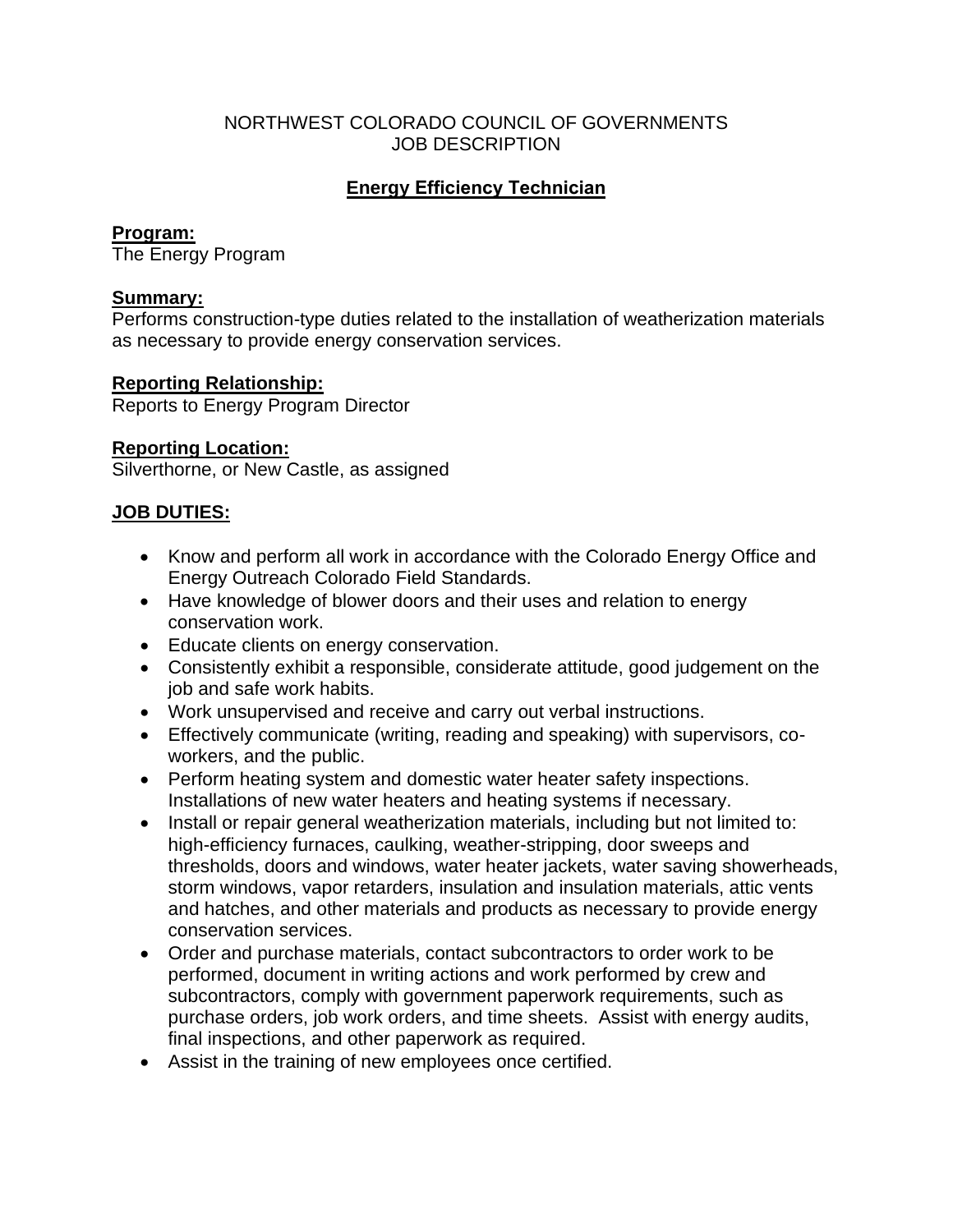### NORTHWEST COLORADO COUNCIL OF GOVERNMENTS JOB DESCRIPTION

# **Energy Efficiency Technician**

## **Program:**

The Energy Program

## **Summary:**

Performs construction-type duties related to the installation of weatherization materials as necessary to provide energy conservation services.

## **Reporting Relationship:**

Reports to Energy Program Director

## **Reporting Location:**

Silverthorne, or New Castle, as assigned

## **JOB DUTIES:**

- Know and perform all work in accordance with the Colorado Energy Office and Energy Outreach Colorado Field Standards.
- Have knowledge of blower doors and their uses and relation to energy conservation work.
- Educate clients on energy conservation.
- Consistently exhibit a responsible, considerate attitude, good judgement on the job and safe work habits.
- Work unsupervised and receive and carry out verbal instructions.
- Effectively communicate (writing, reading and speaking) with supervisors, coworkers, and the public.
- Perform heating system and domestic water heater safety inspections. Installations of new water heaters and heating systems if necessary.
- Install or repair general weatherization materials, including but not limited to: high-efficiency furnaces, caulking, weather-stripping, door sweeps and thresholds, doors and windows, water heater jackets, water saving showerheads, storm windows, vapor retarders, insulation and insulation materials, attic vents and hatches, and other materials and products as necessary to provide energy conservation services.
- Order and purchase materials, contact subcontractors to order work to be performed, document in writing actions and work performed by crew and subcontractors, comply with government paperwork requirements, such as purchase orders, job work orders, and time sheets. Assist with energy audits, final inspections, and other paperwork as required.
- Assist in the training of new employees once certified.